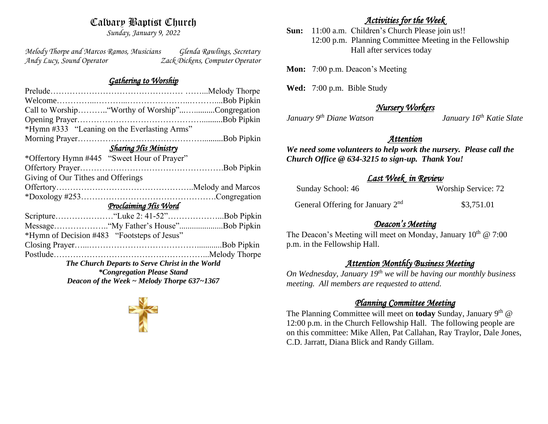# Calvary Baptist Church

*Sunday, January 9, 2022*

*Melody Thorpe and Marcos Ramos, Musicians Glenda Rawlings, Secretary Andy Lucy, Sound Operator Zack Dickens, Computer Operator* 

#### *Gathering to Worship*

| Call to Worship"Worthy of Worship"Congregation   |  |  |
|--------------------------------------------------|--|--|
|                                                  |  |  |
|                                                  |  |  |
|                                                  |  |  |
| <b>Sharing His Ministry</b>                      |  |  |
|                                                  |  |  |
|                                                  |  |  |
| Giving of Our Tithes and Offerings               |  |  |
|                                                  |  |  |
|                                                  |  |  |
| <u>Proclaiming His Word</u>                      |  |  |
|                                                  |  |  |
| Message"My Father's House"Bob Pipkin             |  |  |
|                                                  |  |  |
|                                                  |  |  |
|                                                  |  |  |
| The Church Departs to Serve Christ in the World  |  |  |
| <i>*Congregation Please Stand</i>                |  |  |
| Deacon of the Week $\sim$ Melody Thorpe 637~1367 |  |  |
|                                                  |  |  |

## *Activities for the Week*

**Sun:** 11:00 a.m. Children's Church Please join us!! 12:00 p.m. Planning Committee Meeting in the Fellowship Hall after services today

**Mon:** 7:00 p.m. Deacon's Meeting

**Wed:** 7:00 p.m. Bible Study

## *Nursery Workers*

*January 9th Diane Watson January 16th Katie Slate* 

## *Attention*

*We need some volunteers to help work the nursery. Please call the Church Office @ 634-3215 to sign-up. Thank You!*

#### *Last Week in Review*

| Sunday School: 46                            | Worship Service: 72 |
|----------------------------------------------|---------------------|
| General Offering for January 2 <sup>nd</sup> | \$3,751.01          |

## *Deacon's Meeting*

The Deacon's Meeting will meet on Monday, January  $10^{th} \text{ } @ 7:00$ p.m. in the Fellowship Hall.

# *Attention Monthly Business Meeting*

*On Wednesday, January 19th we will be having our monthly business meeting. All members are requested to attend.* 

#### *Planning Committee Meeting*

The Planning Committee will meet on **today** Sunday, January 9<sup>th</sup> @ 12:00 p.m. in the Church Fellowship Hall. The following people are on this committee: Mike Allen, Pat Callahan, Ray Traylor, Dale Jones, C.D. Jarratt, Diana Blick and Randy Gillam.